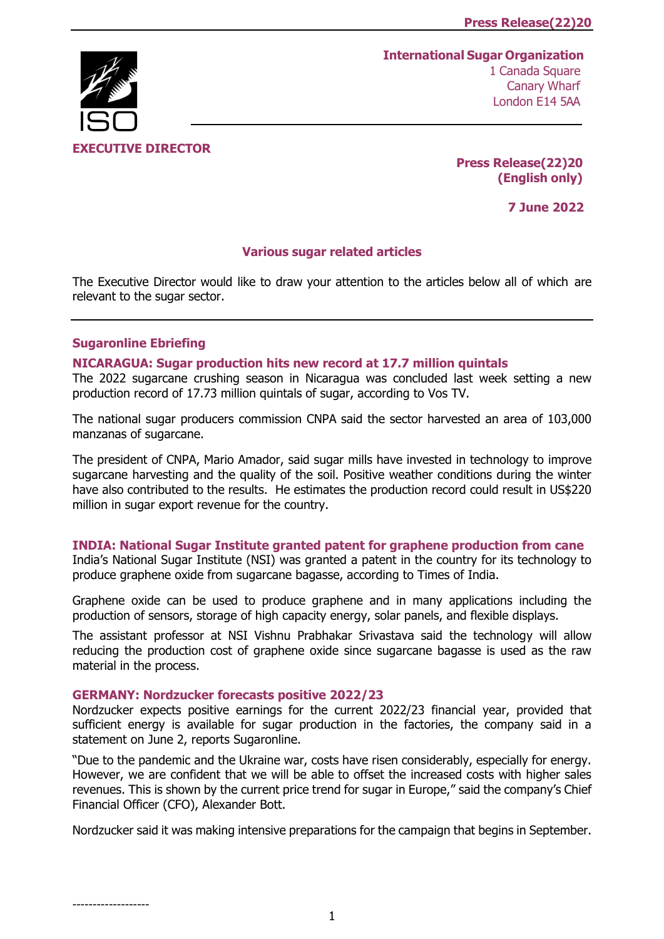# **International Sugar Organization** 1 Canada Square



**EXECUTIVE DIRECTOR** 

**Press Release(22)20 (English only)**

**7 June 2022**

### **Various sugar related articles**

The Executive Director would like to draw your attention to the articles below all of which are relevant to the sugar sector.

## **Sugaronline Ebriefing**

-------------------

### **[NICARAGUA: Sugar production hits new record at 17.7 million quintals](https://www.sugaronline.com/2022/06/06/nicaragua-sugar-production-hits-new-record-at-17-7-million-quintals/)**

The 2022 sugarcane crushing season in Nicaragua was concluded last week setting a new production record of 17.73 million quintals of sugar, according to Vos TV.

The national sugar producers commission CNPA said the sector harvested an area of 103,000 manzanas of sugarcane.

The president of CNPA, Mario Amador, said sugar mills have invested in technology to improve sugarcane harvesting and the quality of the soil. Positive weather conditions during the winter have also contributed to the results. He estimates the production record could result in US\$220 million in sugar export revenue for the country.

#### **[INDIA: National Sugar Institute granted patent for graphene production from cane](https://www.sugaronline.com/2022/06/06/india-national-sugar-institute-granted-patent-for-graphene-production-from-cane/)**

India's National Sugar Institute (NSI) was granted a patent in the country for its technology to produce graphene oxide from sugarcane bagasse, according to Times of India.

Graphene oxide can be used to produce graphene and in many applications including the production of sensors, storage of high capacity energy, solar panels, and flexible displays.

The assistant professor at NSI Vishnu Prabhakar Srivastava said the technology will allow reducing the production cost of graphene oxide since sugarcane bagasse is used as the raw material in the process.

#### **[GERMANY: Nordzucker forecasts positive 2022/23](https://www.sugaronline.com/2022/06/06/germany-nordzucker-forecasts-positive-2022-23/)**

Nordzucker expects positive earnings for the current 2022/23 financial year, provided that sufficient energy is available for sugar production in the factories, the company said in a statement on June 2, reports Sugaronline.

"Due to the pandemic and the Ukraine war, costs have risen considerably, especially for energy. However, we are confident that we will be able to offset the increased costs with higher sales revenues. This is shown by the current price trend for sugar in Europe," said the company's Chief Financial Officer (CFO), Alexander Bott.

Nordzucker said it was making intensive preparations for the campaign that begins in September.